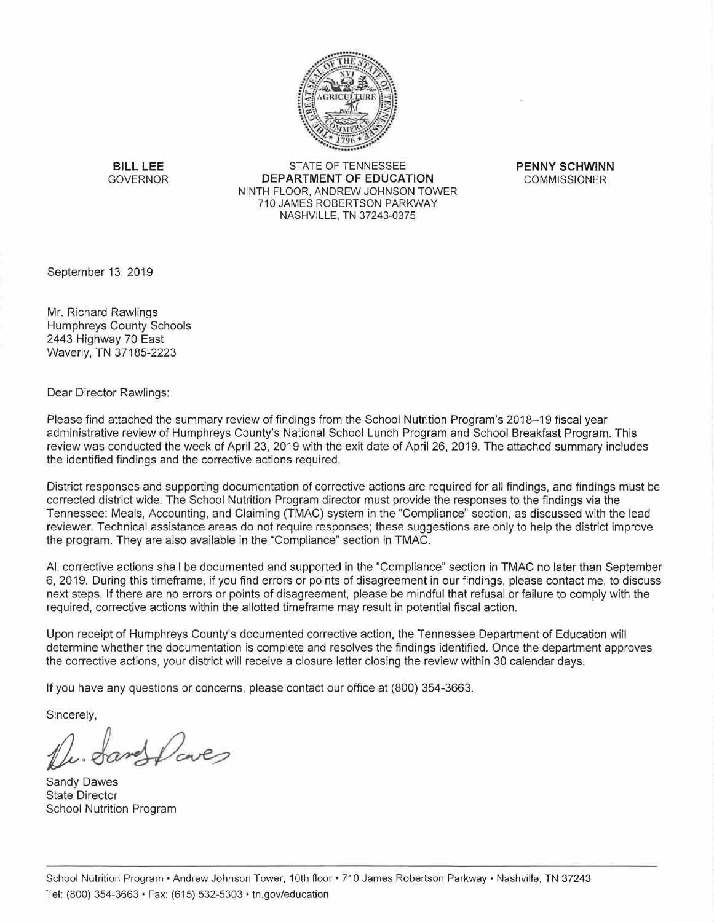

**BILL LEE** STATE OF TENNESSEE **PENNY SCHWINN DEPARTMENT OF EDUCATION** NINTH FLOOR, ANDREW JOHNSON TOWER 710 JAMES ROBERTSON PARKWAY NASHVILLE, TN 37243-0375

September 13, 2019

Mr. Richard Rawlings Humphreys County Schools 2443 Highway 70 East Waverly, TN 37185-2223

Dear Director Rawlings:

Please find attached the summary review of findings from the School Nutrition Program's 2018-19 fiscal year administrative review of Humphreys County's National School Lunch Program and School Breakfast Program. This review was conducted the week of April 23, 2019 with the exit date of April 26, 2019. The attached summary includes the identified findings and the corrective actions required.

District responses and supporting documentation of corrective actions are required for all findings, and findings must be corrected district wide. The School Nutrition Program director must provide the responses to the findings via the Tennessee: Meals, Accounting, and Claiming (TMAC) system in the "Compliance" section, as discussed with the lead reviewer. Technical assistance areas do not require responses; these suggestions are only to help the district improve the program. They are also available in the "Compliance" section in TMAC.

All corrective actions shall be documented and supported in the "Compliance" section in TMAC no later than September 6, 2019. During this timeframe, if you find errors or points of disagreement in our findings, please contact me, to discuss next steps. If there are no errors or points of disagreement, please be mindful that refusal or failure to comply with the required, corrective actions within the allotted timeframe may result in potential fiscal action.

Upon receipt of Humphreys County's documented corrective action, the Tennessee Department of Education will determine whether the documentation is complete and resolves the findings identified. Once the department approves the corrective actions, your district will receive a closure letter closing the review within 30 calendar days.

If you have any questions or concerns, please contact our office at (800) 354-3663.

Sincerely,

Sandy Dawes State Director School Nutrition Program